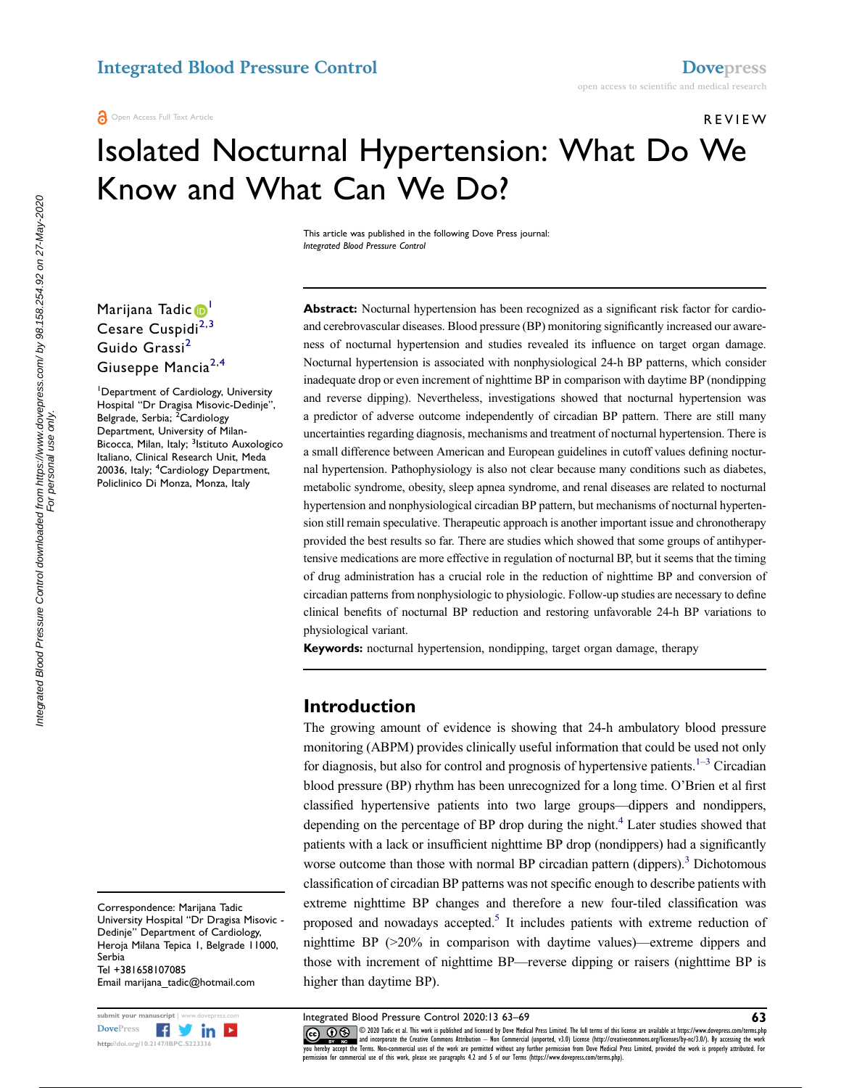# REVIEW

# Isolated Nocturnal Hypertension: What Do We Know and What Can We Do?

This article was published in the following Dove Press journal: Integrated Blood Pressure Control

Marijana Tadic<sup>o[1](#page-0-0)</sup> Cesare Cuspidi $^{2,3}$  $^{2,3}$  $^{2,3}$  $^{2,3}$ Guido Grassi<sup>[2](#page-0-1)</sup> Giuseppe Mancia<sup>[2,](#page-0-1)[4](#page-0-3)</sup>

<span id="page-0-3"></span><span id="page-0-2"></span><span id="page-0-1"></span><span id="page-0-0"></span>1 Department of Cardiology, University Hospital "Dr Dragisa Misovic-Dedinje", Belgrade, Serbia; <sup>2</sup>Cardiology Department, University of Milan-Bicocca, Milan, Italy; <sup>3</sup>Istituto Auxologico Italiano, Clinical Research Unit, Meda 20036, Italy; <sup>4</sup>Cardiology Department, Policlinico Di Monza, Monza, Italy

Correspondence: Marijana Tadic University Hospital "Dr Dragisa Misovic - Dedinje" Department of Cardiology, Heroja Milana Tepica 1, Belgrade 11000, Serbia Tel +381658107085 Email marijana\_tadic@hotmail.com

Abstract: Nocturnal hypertension has been recognized as a significant risk factor for cardioand cerebrovascular diseases. Blood pressure (BP) monitoring significantly increased our awareness of nocturnal hypertension and studies revealed its influence on target organ damage. Nocturnal hypertension is associated with nonphysiological 24-h BP patterns, which consider inadequate drop or even increment of nighttime BP in comparison with daytime BP (nondipping and reverse dipping). Nevertheless, investigations showed that nocturnal hypertension was a predictor of adverse outcome independently of circadian BP pattern. There are still many uncertainties regarding diagnosis, mechanisms and treatment of nocturnal hypertension. There is a small difference between American and European guidelines in cutoff values defining nocturnal hypertension. Pathophysiology is also not clear because many conditions such as diabetes, metabolic syndrome, obesity, sleep apnea syndrome, and renal diseases are related to nocturnal hypertension and nonphysiological circadian BP pattern, but mechanisms of nocturnal hypertension still remain speculative. Therapeutic approach is another important issue and chronotherapy provided the best results so far. There are studies which showed that some groups of antihypertensive medications are more effective in regulation of nocturnal BP, but it seems that the timing of drug administration has a crucial role in the reduction of nighttime BP and conversion of circadian patterns from nonphysiologic to physiologic. Follow-up studies are necessary to define clinical benefits of nocturnal BP reduction and restoring unfavorable 24-h BP variations to physiological variant.

Keywords: nocturnal hypertension, nondipping, target organ damage, therapy

# Introduction

<span id="page-0-6"></span><span id="page-0-5"></span><span id="page-0-4"></span>The growing amount of evidence is showing that 24-h ambulatory blood pressure monitoring (ABPM) provides clinically useful information that could be used not only for diagnosis, but also for control and prognosis of hypertensive patients.<sup>1–[3](#page-4-1)</sup> Circadian blood pressure (BP) rhythm has been unrecognized for a long time. O'Brien et al first classified hypertensive patients into two large groups—dippers and nondippers, depending on the percentage of BP drop during the night.<sup>4</sup> Later studies showed that patients with a lack or insufficient nighttime BP drop (nondippers) had a significantly worse outcome than those with normal BP circadian pattern  $(dippers)$ .<sup>[3](#page-4-1)</sup> Dichotomous classification of circadian BP patterns was not specific enough to describe patients with extreme nighttime BP changes and therefore a new four-tiled classification was proposed and nowadays accepted.<sup>5</sup> It includes patients with extreme reduction of nighttime BP (>20% in comparison with daytime values)—extreme dippers and those with increment of nighttime BP—reverse dipping or raisers (nighttime BP is higher than daytime BP).

<span id="page-0-7"></span>

submit your manuscript | www.dovepress.com **httegrated Blood Pressure Control 2020:13 63—69**<br>[DovePress](http://www.dovepress.com) **Figures of the Control of Control of Control 2020 Tadic et al. This work is published and licensed by Dove Medical Pre** www.particle.com and incorporate the Creative Commons Attribution — Non Commercial (unported, v3.0) License (http://creativecommons.org/licenses/by-nc/3.0/). By accessing the work<br>you hereby accept the Terms. Non-commercia permission for commercial use of this work, please see paragraphs 4.2 and 5 of our Terms (https://www.dovepress.com/terms.php).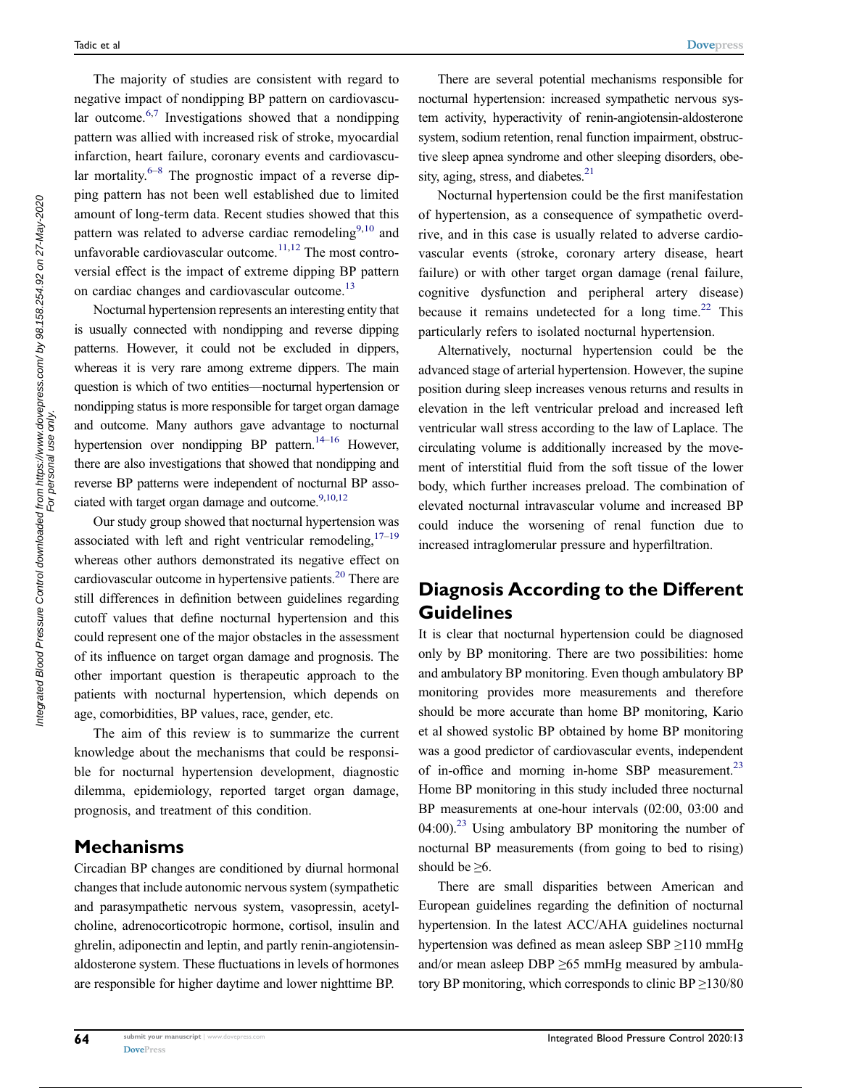<span id="page-1-1"></span><span id="page-1-0"></span>The majority of studies are consistent with regard to negative impact of nondipping BP pattern on cardiovascular outcome. $6,7$  $6,7$  Investigations showed that a nondipping pattern was allied with increased risk of stroke, myocardial infarction, heart failure, coronary events and cardiovascular mortality. $6-8$  $6-8$  The prognostic impact of a reverse dipping pattern has not been well established due to limited amount of long-term data. Recent studies showed that this pattern was related to adverse cardiac remodeling<sup>[9](#page-4-7)[,10](#page-4-8)</sup> and unfavorable cardiovascular outcome. $11,12$  $11,12$  The most controversial effect is the impact of extreme dipping BP pattern on cardiac changes and cardiovascular outcome.<sup>[13](#page-4-11)</sup>

<span id="page-1-4"></span><span id="page-1-3"></span>Nocturnal hypertension represents an interesting entity that is usually connected with nondipping and reverse dipping patterns. However, it could not be excluded in dippers, whereas it is very rare among extreme dippers. The main question is which of two entities—nocturnal hypertension or nondipping status is more responsible for target organ damage and outcome. Many authors gave advantage to nocturnal hypertension over nondipping BP pattern.<sup>14–[16](#page-4-13)</sup> However, there are also investigations that showed that nondipping and reverse BP patterns were independent of nocturnal BP associated with target organ damage and outcome. $9,10,12$  $9,10,12$  $9,10,12$ 

<span id="page-1-7"></span><span id="page-1-6"></span><span id="page-1-5"></span><span id="page-1-2"></span>Our study group showed that nocturnal hypertension was associated with left and right ventricular remodeling,  $17-19$  $17-19$ whereas other authors demonstrated its negative effect on cardiovascular outcome in hypertensive patients.<sup>20</sup> There are still differences in definition between guidelines regarding cutoff values that define nocturnal hypertension and this could represent one of the major obstacles in the assessment of its influence on target organ damage and prognosis. The other important question is therapeutic approach to the patients with nocturnal hypertension, which depends on age, comorbidities, BP values, race, gender, etc.

The aim of this review is to summarize the current knowledge about the mechanisms that could be responsible for nocturnal hypertension development, diagnostic dilemma, epidemiology, reported target organ damage, prognosis, and treatment of this condition.

# **Mechanisms**

Circadian BP changes are conditioned by diurnal hormonal changes that include autonomic nervous system (sympathetic and parasympathetic nervous system, vasopressin, acetylcholine, adrenocorticotropic hormone, cortisol, insulin and ghrelin, adiponectin and leptin, and partly renin-angiotensinaldosterone system. These fluctuations in levels of hormones are responsible for higher daytime and lower nighttime BP.

There are several potential mechanisms responsible for nocturnal hypertension: increased sympathetic nervous system activity, hyperactivity of renin-angiotensin-aldosterone system, sodium retention, renal function impairment, obstructive sleep apnea syndrome and other sleeping disorders, obesity, aging, stress, and diabetes. $21$ 

<span id="page-1-8"></span>Nocturnal hypertension could be the first manifestation of hypertension, as a consequence of sympathetic overdrive, and in this case is usually related to adverse cardiovascular events (stroke, coronary artery disease, heart failure) or with other target organ damage (renal failure, cognitive dysfunction and peripheral artery disease) because it remains undetected for a long time.<sup>[22](#page-5-1)</sup> This particularly refers to isolated nocturnal hypertension.

<span id="page-1-9"></span>Alternatively, nocturnal hypertension could be the advanced stage of arterial hypertension. However, the supine position during sleep increases venous returns and results in elevation in the left ventricular preload and increased left ventricular wall stress according to the law of Laplace. The circulating volume is additionally increased by the movement of interstitial fluid from the soft tissue of the lower body, which further increases preload. The combination of elevated nocturnal intravascular volume and increased BP could induce the worsening of renal function due to increased intraglomerular pressure and hyperfiltration.

# Diagnosis According to the Different **Guidelines**

It is clear that nocturnal hypertension could be diagnosed only by BP monitoring. There are two possibilities: home and ambulatory BP monitoring. Even though ambulatory BP monitoring provides more measurements and therefore should be more accurate than home BP monitoring, Kario et al showed systolic BP obtained by home BP monitoring was a good predictor of cardiovascular events, independent of in-office and morning in-home SBP measurement.<sup>23</sup> Home BP monitoring in this study included three nocturnal BP measurements at one-hour intervals (02:00, 03:00 and  $(04:00)$ <sup>[23](#page-5-2)</sup> Using ambulatory BP monitoring the number of nocturnal BP measurements (from going to bed to rising) should be  $\geq 6$ .

<span id="page-1-11"></span><span id="page-1-10"></span>There are small disparities between American and European guidelines regarding the definition of nocturnal hypertension. In the latest ACC/AHA guidelines nocturnal hypertension was defined as mean asleep SBP ≥110 mmHg and/or mean asleep DBP  $\geq 65$  mmHg measured by ambulatory BP monitoring, which corresponds to clinic  $BP \ge 130/80$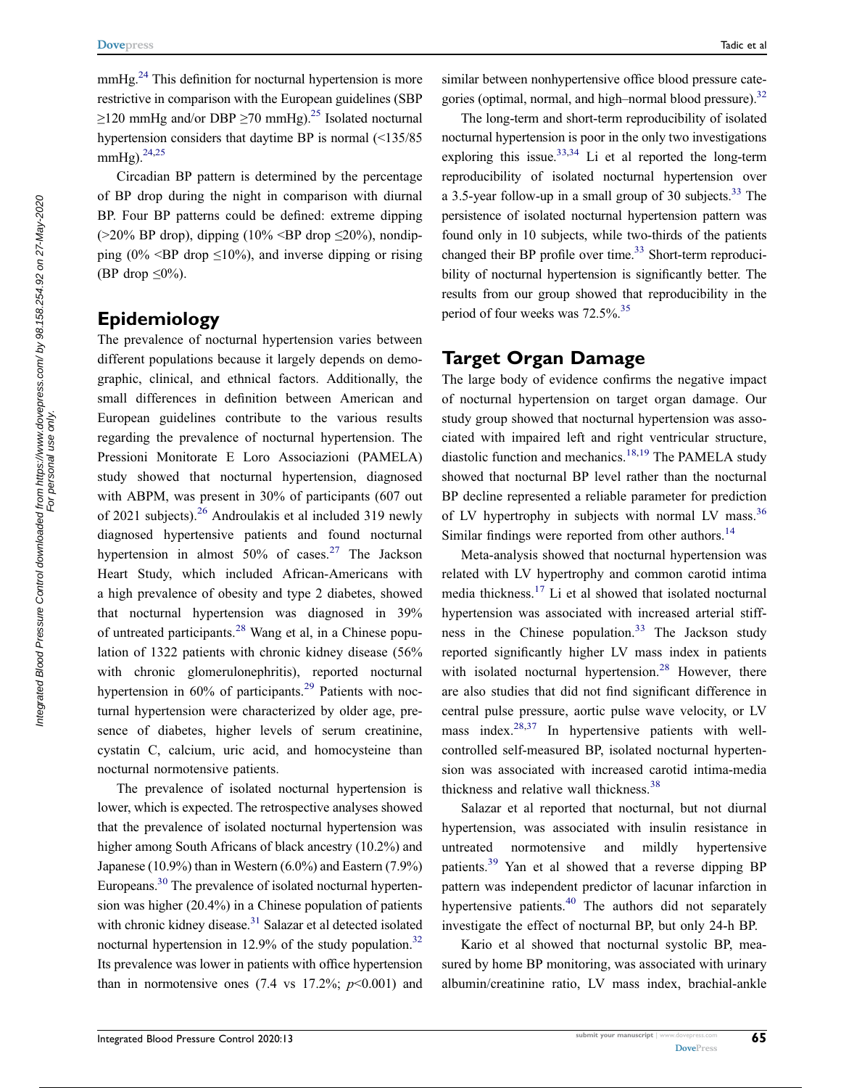mmHg.<sup>[24](#page-5-3)</sup> This definition for nocturnal hypertension is more restrictive in comparison with the European guidelines (SBP  $\geq$ 120 mmHg and/or DBP  $\geq$ 70 mmHg).<sup>25</sup> Isolated nocturnal hypertension considers that daytime BP is normal (<135/85 mmHg). $^{24,25}$  $^{24,25}$  $^{24,25}$ 

<span id="page-2-1"></span>Circadian BP pattern is determined by the percentage of BP drop during the night in comparison with diurnal BP. Four BP patterns could be defined: extreme dipping  $(>20\%$  BP drop), dipping  $(10\% \leq BP$  drop  $\leq 20\%$ ), nondipping (0%  $\leq$ BP drop  $\leq$ 10%), and inverse dipping or rising (BP drop  $\leq 0\%$ ).

# Epidemiology

<span id="page-2-3"></span><span id="page-2-2"></span>The prevalence of nocturnal hypertension varies between different populations because it largely depends on demographic, clinical, and ethnical factors. Additionally, the small differences in definition between American and European guidelines contribute to the various results regarding the prevalence of nocturnal hypertension. The Pressioni Monitorate E Loro Associazioni (PAMELA) study showed that nocturnal hypertension, diagnosed with ABPM, was present in 30% of participants (607 out of 2021 subjects).[26](#page-5-5) Androulakis et al included 319 newly diagnosed hypertensive patients and found nocturnal hypertension in almost  $50\%$  of cases.<sup>[27](#page-5-6)</sup> The Jackson Heart Study, which included African-Americans with a high prevalence of obesity and type 2 diabetes, showed that nocturnal hypertension was diagnosed in 39% of untreated participants.<sup>[28](#page-5-7)</sup> Wang et al, in a Chinese population of 1322 patients with chronic kidney disease (56% with chronic glomerulonephritis), reported nocturnal hypertension in  $60\%$  of participants.<sup>[29](#page-5-8)</sup> Patients with nocturnal hypertension were characterized by older age, presence of diabetes, higher levels of serum creatinine, cystatin C, calcium, uric acid, and homocysteine than nocturnal normotensive patients.

<span id="page-2-7"></span><span id="page-2-6"></span><span id="page-2-5"></span>The prevalence of isolated nocturnal hypertension is lower, which is expected. The retrospective analyses showed that the prevalence of isolated nocturnal hypertension was higher among South Africans of black ancestry (10.2%) and Japanese (10.9%) than in Western  $(6.0\%)$  and Eastern  $(7.9\%)$ Europeans.<sup>[30](#page-5-9)</sup> The prevalence of isolated nocturnal hypertension was higher (20.4%) in a Chinese population of patients with chronic kidney disease.<sup>31</sup> Salazar et al detected isolated nocturnal hypertension in 12.9% of the study population. $32$ Its prevalence was lower in patients with office hypertension than in normotensive ones  $(7.4 \text{ vs } 17.2\%; p<0.001)$  and <span id="page-2-8"></span>similar between nonhypertensive office blood pressure categories (optimal, normal, and high–normal blood pressure).<sup>32</sup>

<span id="page-2-10"></span>The long-term and short-term reproducibility of isolated nocturnal hypertension is poor in the only two investigations exploring this issue.  $33,34$  $33,34$  Li et al reported the long-term reproducibility of isolated nocturnal hypertension over a 3.5-year follow-up in a small group of 30 subjects.<sup>[33](#page-5-12)</sup> The persistence of isolated nocturnal hypertension pattern was found only in 10 subjects, while two-thirds of the patients changed their BP profile over time. $33$  Short-term reproducibility of nocturnal hypertension is significantly better. The results from our group showed that reproducibility in the period of four weeks was 72.5%.<sup>35</sup>

## <span id="page-2-11"></span>Target Organ Damage

<span id="page-2-0"></span>The large body of evidence confirms the negative impact of nocturnal hypertension on target organ damage. Our study group showed that nocturnal hypertension was associated with impaired left and right ventricular structure, diastolic function and mechanics.<sup>[18](#page-4-17)[,19](#page-4-15)</sup> The PAMELA study showed that nocturnal BP level rather than the nocturnal BP decline represented a reliable parameter for prediction of LV hypertrophy in subjects with normal LV mass.<sup>[36](#page-5-15)</sup> Similar findings were reported from other authors.<sup>[14](#page-4-12)</sup>

<span id="page-2-12"></span><span id="page-2-9"></span>Meta-analysis showed that nocturnal hypertension was related with LV hypertrophy and common carotid intima media thickness[.17](#page-4-14) Li et al showed that isolated nocturnal hypertension was associated with increased arterial stiff-ness in the Chinese population.<sup>[33](#page-5-12)</sup> The Jackson study reported significantly higher LV mass index in patients with isolated nocturnal hypertension. $28$  However, there are also studies that did not find significant difference in central pulse pressure, aortic pulse wave velocity, or LV mass index. $28,37$  $28,37$  In hypertensive patients with wellcontrolled self-measured BP, isolated nocturnal hypertension was associated with increased carotid intima-media thickness and relative wall thickness.<sup>[38](#page-5-17)</sup>

<span id="page-2-14"></span><span id="page-2-13"></span><span id="page-2-4"></span>Salazar et al reported that nocturnal, but not diurnal hypertension, was associated with insulin resistance in untreated normotensive and mildly hypertensive patients[.39](#page-5-18) Yan et al showed that a reverse dipping BP pattern was independent predictor of lacunar infarction in hypertensive patients.<sup>[40](#page-5-19)</sup> The authors did not separately investigate the effect of nocturnal BP, but only 24-h BP.

<span id="page-2-15"></span>Kario et al showed that nocturnal systolic BP, measured by home BP monitoring, was associated with urinary albumin/creatinine ratio, LV mass index, brachial-ankle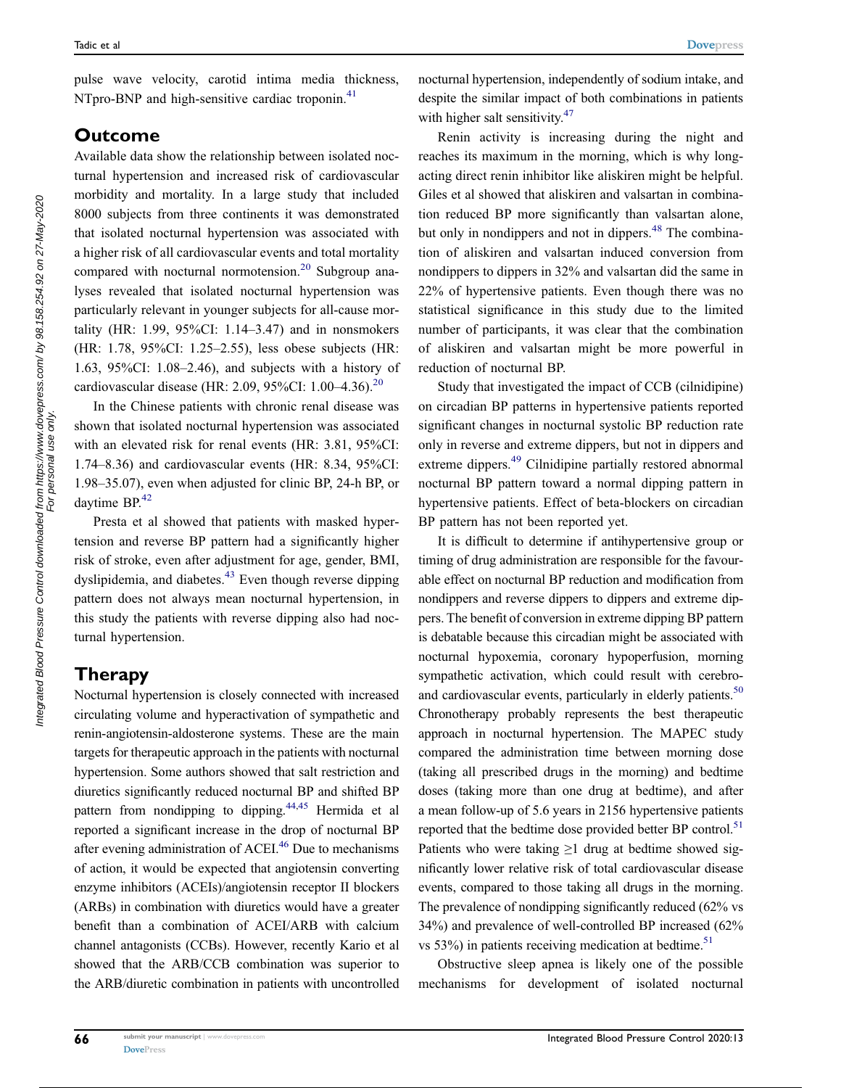<span id="page-3-0"></span>pulse wave velocity, carotid intima media thickness, NTpro-BNP and high-sensitive cardiac troponin.<sup>[41](#page-5-20)</sup>

# Outcome

Available data show the relationship between isolated nocturnal hypertension and increased risk of cardiovascular morbidity and mortality. In a large study that included 8000 subjects from three continents it was demonstrated that isolated nocturnal hypertension was associated with a higher risk of all cardiovascular events and total mortality compared with nocturnal normotension. $20$  Subgroup analyses revealed that isolated nocturnal hypertension was particularly relevant in younger subjects for all-cause mortality (HR: 1.99, 95%CI: 1.14–3.47) and in nonsmokers (HR: 1.78, 95%CI: 1.25–2.55), less obese subjects (HR: 1.63, 95%CI: 1.08–2.46), and subjects with a history of cardiovascular disease (HR: 2.09, 95%CI: 1.00–4.36).[20](#page-4-16)

In the Chinese patients with chronic renal disease was shown that isolated nocturnal hypertension was associated with an elevated risk for renal events (HR: 3.81, 95%CI: 1.74–8.36) and cardiovascular events (HR: 8.34, 95%CI: 1.98–35.07), even when adjusted for clinic BP, 24-h BP, or daytime BP.<sup>42</sup>

<span id="page-3-2"></span><span id="page-3-1"></span>Presta et al showed that patients with masked hypertension and reverse BP pattern had a significantly higher risk of stroke, even after adjustment for age, gender, BMI, dyslipidemia, and diabetes. $43$  Even though reverse dipping pattern does not always mean nocturnal hypertension, in this study the patients with reverse dipping also had nocturnal hypertension.

# Therapy

<span id="page-3-4"></span><span id="page-3-3"></span>Nocturnal hypertension is closely connected with increased circulating volume and hyperactivation of sympathetic and renin-angiotensin-aldosterone systems. These are the main targets for therapeutic approach in the patients with nocturnal hypertension. Some authors showed that salt restriction and diuretics significantly reduced nocturnal BP and shifted BP pattern from nondipping to dipping.<sup>44[,45](#page-5-24)</sup> Hermida et al reported a significant increase in the drop of nocturnal BP after evening administration of ACEI.<sup>46</sup> Due to mechanisms of action, it would be expected that angiotensin converting enzyme inhibitors (ACEIs)/angiotensin receptor II blockers (ARBs) in combination with diuretics would have a greater benefit than a combination of ACEI/ARB with calcium channel antagonists (CCBs). However, recently Kario et al showed that the ARB/CCB combination was superior to the ARB/diuretic combination in patients with uncontrolled nocturnal hypertension, independently of sodium intake, and despite the similar impact of both combinations in patients with higher salt sensitivity.<sup>47</sup>

<span id="page-3-6"></span><span id="page-3-5"></span>Renin activity is increasing during the night and reaches its maximum in the morning, which is why longacting direct renin inhibitor like aliskiren might be helpful. Giles et al showed that aliskiren and valsartan in combination reduced BP more significantly than valsartan alone, but only in nondippers and not in dippers.<sup>[48](#page-5-27)</sup> The combination of aliskiren and valsartan induced conversion from nondippers to dippers in 32% and valsartan did the same in 22% of hypertensive patients. Even though there was no statistical significance in this study due to the limited number of participants, it was clear that the combination of aliskiren and valsartan might be more powerful in reduction of nocturnal BP.

<span id="page-3-7"></span>Study that investigated the impact of CCB (cilnidipine) on circadian BP patterns in hypertensive patients reported significant changes in nocturnal systolic BP reduction rate only in reverse and extreme dippers, but not in dippers and extreme dippers.<sup>49</sup> Cilnidipine partially restored abnormal nocturnal BP pattern toward a normal dipping pattern in hypertensive patients. Effect of beta-blockers on circadian BP pattern has not been reported yet.

<span id="page-3-8"></span>It is difficult to determine if antihypertensive group or timing of drug administration are responsible for the favourable effect on nocturnal BP reduction and modification from nondippers and reverse dippers to dippers and extreme dippers. The benefit of conversion in extreme dipping BP pattern is debatable because this circadian might be associated with nocturnal hypoxemia, coronary hypoperfusion, morning sympathetic activation, which could result with cerebroand cardiovascular events, particularly in elderly patients.<sup>50</sup> Chronotherapy probably represents the best therapeutic approach in nocturnal hypertension. The MAPEC study compared the administration time between morning dose (taking all prescribed drugs in the morning) and bedtime doses (taking more than one drug at bedtime), and after a mean follow-up of 5.6 years in 2156 hypertensive patients reported that the bedtime dose provided better BP control.<sup>51</sup> Patients who were taking  $\geq 1$  drug at bedtime showed significantly lower relative risk of total cardiovascular disease events, compared to those taking all drugs in the morning. The prevalence of nondipping significantly reduced (62% vs 34%) and prevalence of well-controlled BP increased (62% vs 53%) in patients receiving medication at bedtime. $51$ 

<span id="page-3-9"></span>Obstructive sleep apnea is likely one of the possible mechanisms for development of isolated nocturnal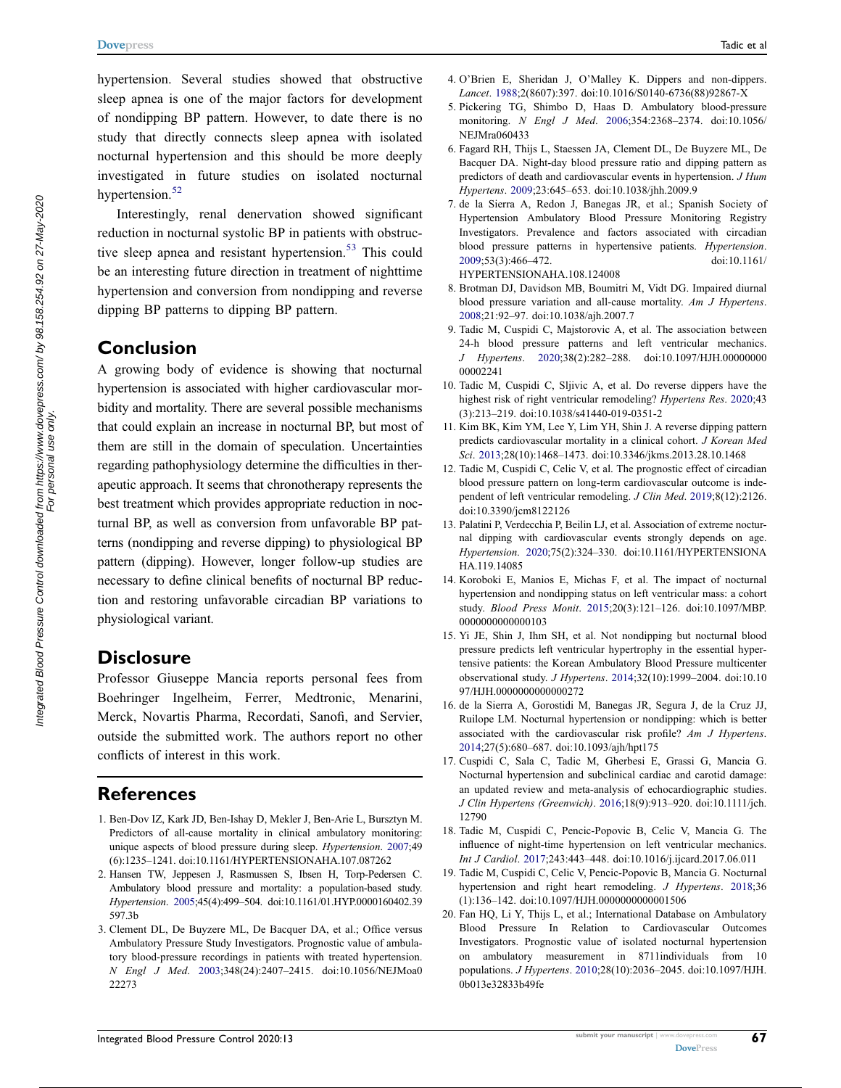hypertension. Several studies showed that obstructive sleep apnea is one of the major factors for development of nondipping BP pattern. However, to date there is no study that directly connects sleep apnea with isolated nocturnal hypertension and this should be more deeply investigated in future studies on isolated nocturnal hypertension.<sup>[52](#page-5-31)</sup>

<span id="page-4-19"></span><span id="page-4-18"></span>Interestingly, renal denervation showed significant reduction in nocturnal systolic BP in patients with obstruc-tive sleep apnea and resistant hypertension.<sup>[53](#page-5-32)</sup> This could be an interesting future direction in treatment of nighttime hypertension and conversion from nondipping and reverse dipping BP patterns to dipping BP pattern.

## Conclusion

A growing body of evidence is showing that nocturnal hypertension is associated with higher cardiovascular morbidity and mortality. There are several possible mechanisms that could explain an increase in nocturnal BP, but most of them are still in the domain of speculation. Uncertainties regarding pathophysiology determine the difficulties in therapeutic approach. It seems that chronotherapy represents the best treatment which provides appropriate reduction in nocturnal BP, as well as conversion from unfavorable BP patterns (nondipping and reverse dipping) to physiological BP pattern (dipping). However, longer follow-up studies are necessary to define clinical benefits of nocturnal BP reduction and restoring unfavorable circadian BP variations to physiological variant.

### **Disclosure**

Professor Giuseppe Mancia reports personal fees from Boehringer Ingelheim, Ferrer, Medtronic, Menarini, Merck, Novartis Pharma, Recordati, Sanofi, and Servier, outside the submitted work. The authors report no other conflicts of interest in this work.

# **References**

- <span id="page-4-0"></span>1. Ben-Dov IZ, Kark JD, Ben-Ishay D, Mekler J, Ben-Arie L, Bursztyn M. Predictors of all-cause mortality in clinical ambulatory monitoring: unique aspects of blood pressure during sleep. Hypertension. [2007;](#page-0-4)49 (6):1235–1241. doi:[10.1161/HYPERTENSIONAHA.107.087262](https://doi.org/10.1161/HYPERTENSIONAHA.107.087262)
- 2. Hansen TW, Jeppesen J, Rasmussen S, Ibsen H, Torp-Pedersen C. Ambulatory blood pressure and mortality: a population-based study. Hypertension. 2005;45(4):499–504. doi:[10.1161/01.HYP.0000160402.39](https://doi.org/10.1161/01.HYP.0000160402.39597.3b) [597.3b](https://doi.org/10.1161/01.HYP.0000160402.39597.3b)
- <span id="page-4-1"></span>3. Clement DL, De Buyzere ML, De Bacquer DA, et al.; Office versus Ambulatory Pressure Study Investigators. Prognostic value of ambulatory blood-pressure recordings in patients with treated hypertension. N Engl J Med. [2003;](#page-0-5)348(24):2407–2415. doi:[10.1056/NEJMoa0](https://doi.org/10.1056/NEJMoa022273) [22273](https://doi.org/10.1056/NEJMoa022273)
- <span id="page-4-2"></span>4. O'Brien E, Sheridan J, O'Malley K. Dippers and non-dippers. Lancet. [1988;](#page-0-6)2(8607):397. doi:[10.1016/S0140-6736\(88\)92867-X](https://doi.org/10.1016/S0140-6736(88)92867-X)
- <span id="page-4-3"></span>5. Pickering TG, Shimbo D, Haas D. Ambulatory blood-pressure monitoring. N Engl J Med. [2006](#page-0-7);354:2368–2374. doi:[10.1056/](https://doi.org/10.1056/NEJMra060433) [NEJMra060433](https://doi.org/10.1056/NEJMra060433)
- <span id="page-4-4"></span>6. Fagard RH, Thijs L, Staessen JA, Clement DL, De Buyzere ML, De Bacquer DA. Night-day blood pressure ratio and dipping pattern as predictors of death and cardiovascular events in hypertension. J Hum Hypertens. [2009;](#page-1-0)23:645–653. doi:[10.1038/jhh.2009.9](https://doi.org/10.1038/jhh.2009.9)
- <span id="page-4-5"></span>7. de la Sierra A, Redon J, Banegas JR, et al.; Spanish Society of Hypertension Ambulatory Blood Pressure Monitoring Registry Investigators. Prevalence and factors associated with circadian blood pressure patterns in hypertensive patients. Hypertension. [2009](#page-1-1);53(3):466–472. doi:[10.1161/](https://doi.org/10.1161/HYPERTENSIONAHA.108.124008) [HYPERTENSIONAHA.108.124008](https://doi.org/10.1161/HYPERTENSIONAHA.108.124008)
- <span id="page-4-6"></span>8. Brotman DJ, Davidson MB, Boumitri M, Vidt DG. Impaired diurnal blood pressure variation and all-cause mortality. Am J Hypertens. [2008](#page-1-0);21:92–97. doi:[10.1038/ajh.2007.7](https://doi.org/10.1038/ajh.2007.7)
- <span id="page-4-7"></span>9. Tadic M, Cuspidi C, Majstorovic A, et al. The association between 24-h blood pressure patterns and left ventricular mechanics. J Hypertens. [2020;](#page-1-2)38(2):282–288. doi:[10.1097/HJH.00000000](https://doi.org/10.1097/HJH.0000000000002241) [00002241](https://doi.org/10.1097/HJH.0000000000002241)
- <span id="page-4-8"></span>10. Tadic M, Cuspidi C, Sljivic A, et al. Do reverse dippers have the highest risk of right ventricular remodeling? Hypertens Res. [2020](#page-1-2);43 (3):213–219. doi:[10.1038/s41440-019-0351-2](https://doi.org/10.1038/s41440-019-0351-2)
- <span id="page-4-9"></span>11. Kim BK, Kim YM, Lee Y, Lim YH, Shin J. A reverse dipping pattern predicts cardiovascular mortality in a clinical cohort. J Korean Med Sci. [2013;](#page-1-3)28(10):1468–1473. doi:[10.3346/jkms.2013.28.10.1468](https://doi.org/10.3346/jkms.2013.28.10.1468)
- <span id="page-4-10"></span>12. Tadic M, Cuspidi C, Celic V, et al. The prognostic effect of circadian blood pressure pattern on long-term cardiovascular outcome is independent of left ventricular remodeling. J Clin Med. [2019;](#page-1-2)8(12):2126. doi:[10.3390/jcm8122126](https://doi.org/10.3390/jcm8122126)
- <span id="page-4-11"></span>13. Palatini P, Verdecchia P, Beilin LJ, et al. Association of extreme nocturnal dipping with cardiovascular events strongly depends on age. Hypertension. [2020;](#page-1-4)75(2):324–330. doi:[10.1161/HYPERTENSIONA](https://doi.org/10.1161/HYPERTENSIONAHA.119.14085) [HA.119.14085](https://doi.org/10.1161/HYPERTENSIONAHA.119.14085)
- <span id="page-4-12"></span>14. Koroboki E, Manios E, Michas F, et al. The impact of nocturnal hypertension and nondipping status on left ventricular mass: a cohort study. Blood Press Monit. [2015;](#page-1-5)20(3):121–126. doi:[10.1097/MBP.](https://doi.org/10.1097/MBP.0000000000000103) [0000000000000103](https://doi.org/10.1097/MBP.0000000000000103)
- 15. Yi JE, Shin J, Ihm SH, et al. Not nondipping but nocturnal blood pressure predicts left ventricular hypertrophy in the essential hypertensive patients: the Korean Ambulatory Blood Pressure multicenter observational study. J Hypertens. 2014;32(10):1999–2004. doi:[10.10](https://doi.org/10.1097/HJH.0000000000000272) [97/HJH.0000000000000272](https://doi.org/10.1097/HJH.0000000000000272)
- <span id="page-4-13"></span>16. de la Sierra A, Gorostidi M, Banegas JR, Segura J, de la Cruz JJ, Ruilope LM. Nocturnal hypertension or nondipping: which is better associated with the cardiovascular risk profile? Am J Hypertens. [2014](#page-1-5);27(5):680–687. doi:[10.1093/ajh/hpt175](https://doi.org/10.1093/ajh/hpt175)
- <span id="page-4-14"></span>17. Cuspidi C, Sala C, Tadic M, Gherbesi E, Grassi G, Mancia G. Nocturnal hypertension and subclinical cardiac and carotid damage: an updated review and meta-analysis of echocardiographic studies. J Clin Hypertens (Greenwich). [2016;](#page-1-6)18(9):913–920. doi:[10.1111/jch.](https://doi.org/10.1111/jch.12790) [12790](https://doi.org/10.1111/jch.12790)
- <span id="page-4-17"></span>18. Tadic M, Cuspidi C, Pencic-Popovic B, Celic V, Mancia G. The influence of night-time hypertension on left ventricular mechanics. Int J Cardiol. [2017](#page-2-0);243:443–448. doi:[10.1016/j.ijcard.2017.06.011](https://doi.org/10.1016/j.ijcard.2017.06.011)
- <span id="page-4-15"></span>19. Tadic M, Cuspidi C, Celic V, Pencic-Popovic B, Mancia G. Nocturnal hypertension and right heart remodeling. J Hypertens. [2018](#page-1-6);36 (1):136–142. doi:[10.1097/HJH.0000000000001506](https://doi.org/10.1097/HJH.0000000000001506)
- <span id="page-4-16"></span>20. Fan HQ, Li Y, Thijs L, et al.; International Database on Ambulatory Blood Pressure In Relation to Cardiovascular Outcomes Investigators. Prognostic value of isolated nocturnal hypertension on ambulatory measurement in 8711individuals from 10 populations. J Hypertens. [2010;](#page-1-7)28(10):2036–2045. doi:[10.1097/HJH.](https://doi.org/10.1097/HJH.0b013e32833b49fe) [0b013e32833b49fe](https://doi.org/10.1097/HJH.0b013e32833b49fe)

For personal use only.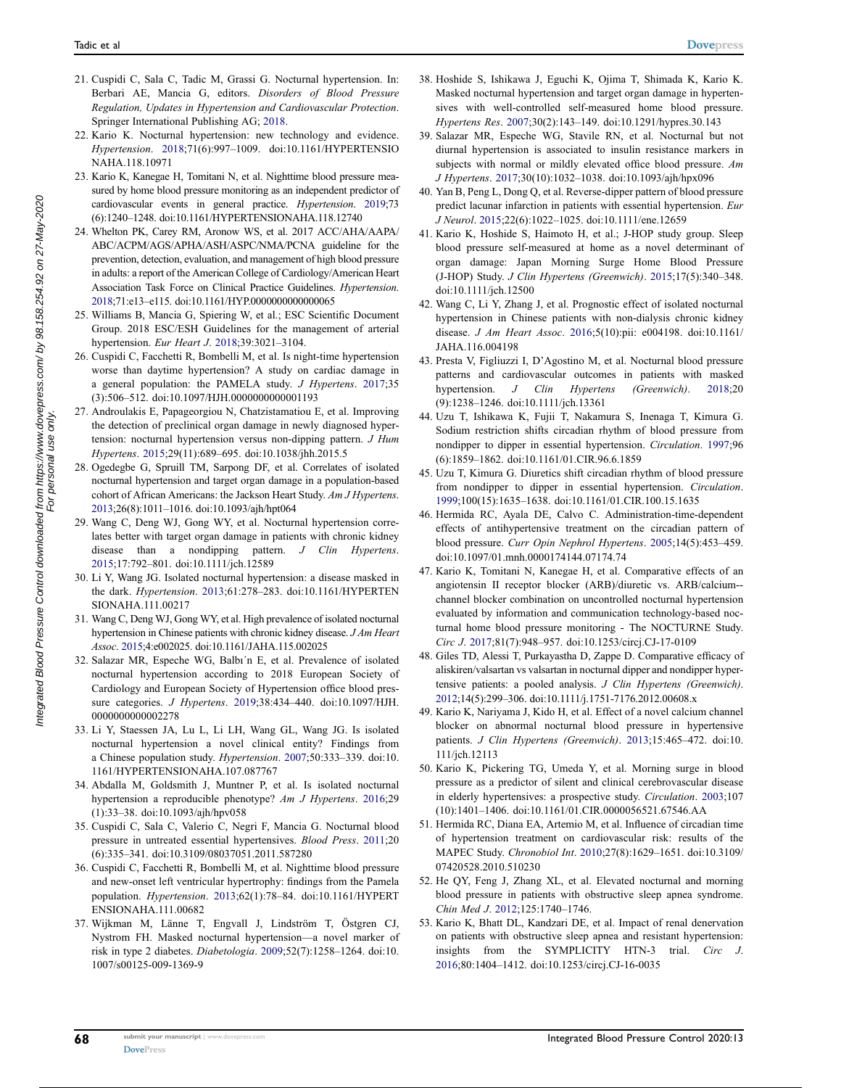- <span id="page-5-0"></span>21. Cuspidi C, Sala C, Tadic M, Grassi G. Nocturnal hypertension. In: Berbari AE, Mancia G, editors. Disorders of Blood Pressure Regulation, Updates in Hypertension and Cardiovascular Protection. Springer International Publishing AG; [2018.](#page-1-8)
- <span id="page-5-1"></span>22. Kario K. Nocturnal hypertension: new technology and evidence. Hypertension. [2018](#page-1-9);71(6):997–1009. doi:[10.1161/HYPERTENSIO](https://doi.org/10.1161/HYPERTENSIONAHA.118.10971) [NAHA.118.10971](https://doi.org/10.1161/HYPERTENSIONAHA.118.10971)
- <span id="page-5-2"></span>23. Kario K, Kanegae H, Tomitani N, et al. Nighttime blood pressure measured by home blood pressure monitoring as an independent predictor of cardiovascular events in general practice. Hypertension. [2019;](#page-1-10)73 (6):1240–1248. doi:[10.1161/HYPERTENSIONAHA.118.12740](https://doi.org/10.1161/HYPERTENSIONAHA.118.12740)
- <span id="page-5-3"></span>24. Whelton PK, Carey RM, Aronow WS, et al. 2017 ACC/AHA/AAPA/ ABC/ACPM/AGS/APHA/ASH/ASPC/NMA/PCNA guideline for the prevention, detection, evaluation, and management of high blood pressure in adults: a report of the American College of Cardiology/American Heart Association Task Force on Clinical Practice Guidelines. Hypertension. [2018](#page-1-11);71:e13–e115. doi:[10.1161/HYP.0000000000000065](https://doi.org/10.1161/HYP.0000000000000065)
- <span id="page-5-4"></span>25. Williams B, Mancia G, Spiering W, et al.; ESC Scientific Document Group. 2018 ESC/ESH Guidelines for the management of arterial hypertension. Eur Heart J. [2018;](#page-2-1)39:3021–3104.
- <span id="page-5-5"></span>26. Cuspidi C, Facchetti R, Bombelli M, et al. Is night-time hypertension worse than daytime hypertension? A study on cardiac damage in a general population: the PAMELA study. J Hypertens. [2017](#page-2-2);35 (3):506–512. doi:[10.1097/HJH.0000000000001193](https://doi.org/10.1097/HJH.0000000000001193)
- <span id="page-5-6"></span>27. Androulakis E, Papageorgiou N, Chatzistamatiou E, et al. Improving the detection of preclinical organ damage in newly diagnosed hypertension: nocturnal hypertension versus non-dipping pattern. J Hum Hypertens. [2015](#page-2-3);29(11):689–695. doi:[10.1038/jhh.2015.5](https://doi.org/10.1038/jhh.2015.5)
- <span id="page-5-7"></span>28. Ogedegbe G, Spruill TM, Sarpong DF, et al. Correlates of isolated nocturnal hypertension and target organ damage in a population-based cohort of African Americans: the Jackson Heart Study. Am J Hypertens. [2013](#page-2-4);26(8):1011–1016. doi:[10.1093/ajh/hpt064](https://doi.org/10.1093/ajh/hpt064)
- <span id="page-5-8"></span>29. Wang C, Deng WJ, Gong WY, et al. Nocturnal hypertension correlates better with target organ damage in patients with chronic kidney disease than a nondipping pattern. J Clin Hypertens. [2015;](#page-2-5)17:792–801. doi:[10.1111/jch.12589](https://doi.org/10.1111/jch.12589)
- <span id="page-5-9"></span>30. Li Y, Wang JG. Isolated nocturnal hypertension: a disease masked in the dark. Hypertension. [2013](#page-2-6);61:278–283. doi:[10.1161/HYPERTEN](https://doi.org/10.1161/HYPERTENSIONAHA.111.00217) [SIONAHA.111.00217](https://doi.org/10.1161/HYPERTENSIONAHA.111.00217)
- <span id="page-5-10"></span>31. Wang C, Deng WJ, Gong WY, et al. High prevalence of isolated nocturnal hypertension in Chinese patients with chronic kidney disease. J Am Heart Assoc. [2015;](#page-2-7)4:e002025. doi:[10.1161/JAHA.115.002025](https://doi.org/10.1161/JAHA.115.002025)
- <span id="page-5-11"></span>32. Salazar MR, Espeche WG, Balbı´n E, et al. Prevalence of isolated nocturnal hypertension according to 2018 European Society of Cardiology and European Society of Hypertension office blood pressure categories. J Hypertens. [2019;](#page-2-8)38:434–440. doi:[10.1097/HJH.](https://doi.org/10.1097/HJH.0000000000002278) [0000000000002278](https://doi.org/10.1097/HJH.0000000000002278)
- <span id="page-5-12"></span>33. Li Y, Staessen JA, Lu L, Li LH, Wang GL, Wang JG. Is isolated nocturnal hypertension a novel clinical entity? Findings from a Chinese population study. Hypertension. [2007](#page-2-9);50:333–339. doi:[10.](https://doi.org/10.1161/HYPERTENSIONAHA.107.087767) [1161/HYPERTENSIONAHA.107.087767](https://doi.org/10.1161/HYPERTENSIONAHA.107.087767)
- <span id="page-5-13"></span>34. Abdalla M, Goldsmith J, Muntner P, et al. Is isolated nocturnal hypertension a reproducible phenotype? Am J Hypertens. [2016](#page-2-10);29 (1):33–38. doi:[10.1093/ajh/hpv058](https://doi.org/10.1093/ajh/hpv058)
- <span id="page-5-14"></span>35. Cuspidi C, Sala C, Valerio C, Negri F, Mancia G. Nocturnal blood pressure in untreated essential hypertensives. Blood Press. [2011](#page-2-11);20 (6):335–341. doi:[10.3109/08037051.2011.587280](https://doi.org/10.3109/08037051.2011.587280)
- <span id="page-5-15"></span>36. Cuspidi C, Facchetti R, Bombelli M, et al. Nighttime blood pressure and new-onset left ventricular hypertrophy: findings from the Pamela population. Hypertension. [2013;](#page-2-12)62(1):78–84. doi:[10.1161/HYPERT](https://doi.org/10.1161/HYPERTENSIONAHA.111.00682) [ENSIONAHA.111.00682](https://doi.org/10.1161/HYPERTENSIONAHA.111.00682)
- <span id="page-5-16"></span>37. Wijkman M, Länne T, Engvall J, Lindström T, Östgren CJ, Nystrom FH. Masked nocturnal hypertension—a novel marker of risk in type 2 diabetes. Diabetologia. [2009](#page-2-4);52(7):1258–1264. doi:[10.](https://doi.org/10.1007/s00125-009-1369-9) [1007/s00125-009-1369-9](https://doi.org/10.1007/s00125-009-1369-9)
- <span id="page-5-17"></span>38. Hoshide S, Ishikawa J, Eguchi K, Ojima T, Shimada K, Kario K. Masked nocturnal hypertension and target organ damage in hypertensives with well-controlled self-measured home blood pressure. Hypertens Res. [2007](#page-2-13);30(2):143–149. doi:[10.1291/hypres.30.143](https://doi.org/10.1291/hypres.30.143)
- <span id="page-5-18"></span>39. Salazar MR, Espeche WG, Stavile RN, et al. Nocturnal but not diurnal hypertension is associated to insulin resistance markers in subjects with normal or mildly elevated office blood pressure. Am J Hypertens. [2017](#page-2-14);30(10):1032–1038. doi:[10.1093/ajh/hpx096](https://doi.org/10.1093/ajh/hpx096)
- <span id="page-5-19"></span>40. Yan B, Peng L, Dong Q, et al. Reverse-dipper pattern of blood pressure predict lacunar infarction in patients with essential hypertension. Eur J Neurol. [2015](#page-2-15);22(6):1022–1025. doi:[10.1111/ene.12659](https://doi.org/10.1111/ene.12659)
- <span id="page-5-20"></span>41. Kario K, Hoshide S, Haimoto H, et al.; J-HOP study group. Sleep blood pressure self-measured at home as a novel determinant of organ damage: Japan Morning Surge Home Blood Pressure (J-HOP) Study. J Clin Hypertens (Greenwich). [2015;](#page-3-0)17(5):340–348. doi:[10.1111/jch.12500](https://doi.org/10.1111/jch.12500)
- <span id="page-5-21"></span>42. Wang C, Li Y, Zhang J, et al. Prognostic effect of isolated nocturnal hypertension in Chinese patients with non-dialysis chronic kidney disease. J Am Heart Assoc. [2016](#page-3-1);5(10):pii: e004198. doi:[10.1161/](https://doi.org/10.1161/JAHA.116.004198) [JAHA.116.004198](https://doi.org/10.1161/JAHA.116.004198)
- <span id="page-5-22"></span>43. Presta V, Figliuzzi I, D'Agostino M, et al. Nocturnal blood pressure patterns and cardiovascular outcomes in patients with masked hypertension. J Clin Hypertens (Greenwich). [2018](#page-3-2);20 (9):1238–1246. doi:[10.1111/jch.13361](https://doi.org/10.1111/jch.13361)
- <span id="page-5-23"></span>44. Uzu T, Ishikawa K, Fujii T, Nakamura S, Inenaga T, Kimura G. Sodium restriction shifts circadian rhythm of blood pressure from nondipper to dipper in essential hypertension. Circulation. [1997](#page-3-3);96 (6):1859–1862. doi:[10.1161/01.CIR.96.6.1859](https://doi.org/10.1161/01.CIR.96.6.1859)
- <span id="page-5-24"></span>45. Uzu T, Kimura G. Diuretics shift circadian rhythm of blood pressure from nondipper to dipper in essential hypertension. Circulation. [1999](#page-3-3);100(15):1635–1638. doi:[10.1161/01.CIR.100.15.1635](https://doi.org/10.1161/01.CIR.100.15.1635)
- <span id="page-5-25"></span>46. Hermida RC, Ayala DE, Calvo C. Administration-time-dependent effects of antihypertensive treatment on the circadian pattern of blood pressure. Curr Opin Nephrol Hypertens. [2005;](#page-3-4)14(5):453–459. doi:[10.1097/01.mnh.0000174144.07174.74](https://doi.org/10.1097/01.mnh.0000174144.07174.74)
- <span id="page-5-26"></span>47. Kario K, Tomitani N, Kanegae H, et al. Comparative effects of an angiotensin II receptor blocker (ARB)/diuretic vs. ARB/calcium- channel blocker combination on uncontrolled nocturnal hypertension evaluated by information and communication technology-based nocturnal home blood pressure monitoring - The NOCTURNE Study. Circ J. [2017](#page-3-5);81(7):948–957. doi:[10.1253/circj.CJ-17-0109](https://doi.org/10.1253/circj.CJ-17-0109)
- <span id="page-5-27"></span>48. Giles TD, Alessi T, Purkayastha D, Zappe D. Comparative efficacy of aliskiren/valsartan vs valsartan in nocturnal dipper and nondipper hypertensive patients: a pooled analysis. J Clin Hypertens (Greenwich). [2012](#page-3-6);14(5):299–306. doi:[10.1111/j.1751-7176.2012.00608.x](https://doi.org/10.1111/j.1751-7176.2012.00608.x)
- <span id="page-5-28"></span>49. Kario K, Nariyama J, Kido H, et al. Effect of a novel calcium channel blocker on abnormal nocturnal blood pressure in hypertensive patients. J Clin Hypertens (Greenwich). [2013;](#page-3-7)15:465–472. doi:[10.](https://doi.org/10.111/jch.12113) [111/jch.12113](https://doi.org/10.111/jch.12113)
- <span id="page-5-29"></span>50. Kario K, Pickering TG, Umeda Y, et al. Morning surge in blood pressure as a predictor of silent and clinical cerebrovascular disease in elderly hypertensives: a prospective study. Circulation. [2003](#page-3-8);107 (10):1401–1406. doi:[10.1161/01.CIR.0000056521.67546.AA](https://doi.org/10.1161/01.CIR.0000056521.67546.AA)
- <span id="page-5-30"></span>51. Hermida RC, Diana EA, Artemio M, et al. Influence of circadian time of hypertension treatment on cardiovascular risk: results of the MAPEC Study. Chronobiol Int. [2010;](#page-3-9)27(8):1629–1651. doi:[10.3109/](https://doi.org/10.3109/07420528.2010.510230) [07420528.2010.510230](https://doi.org/10.3109/07420528.2010.510230)
- <span id="page-5-31"></span>52. He QY, Feng J, Zhang XL, et al. Elevated nocturnal and morning blood pressure in patients with obstructive sleep apnea syndrome. Chin Med J. [2012;](#page-4-18)125:1740–1746.
- <span id="page-5-32"></span>53. Kario K, Bhatt DL, Kandzari DE, et al. Impact of renal denervation on patients with obstructive sleep apnea and resistant hypertension: insights from the SYMPLICITY HTN-3 trial. Circ J. [2016](#page-4-19);80:1404–1412. doi:[10.1253/circj.CJ-16-0035](https://doi.org/10.1253/circj.CJ-16-0035)